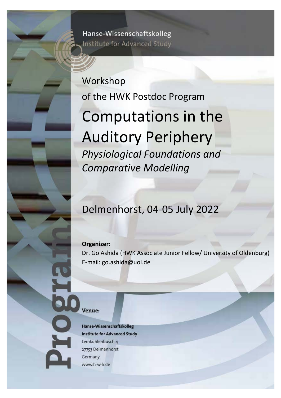Hanse-Wissenschaftskolleg Institute for Advanced Study

## Workshop of the HWK Postdoc Program

# Computations in the Auditory Periphery *Physiological Foundations and Comparative Modelling*

### Delmenhorst, 04-05 July 2022

#### **Organizer:**

Dr. Go Ashida (HWK Associate Junior Fellow/ University of Oldenburg) E-mail: go.ashida@uol.de

#### Venue:

Hanse-Wissenschaftskolleg **Institute for Advanced Study** Lemkuhlenbusch 4 27753 Delmenhorst Germany www.h-w-k.de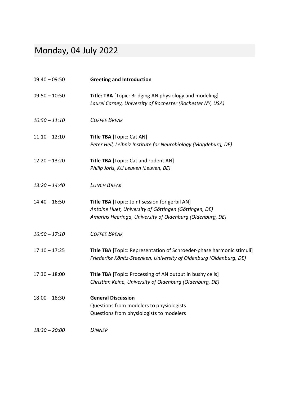### Monday, 04 July 2022

| $09:40 - 09:50$ | <b>Greeting and Introduction</b>                                                                                                                                     |
|-----------------|----------------------------------------------------------------------------------------------------------------------------------------------------------------------|
| $09:50 - 10:50$ | Title: TBA [Topic: Bridging AN physiology and modeling]<br>Laurel Carney, University of Rochester (Rochester NY, USA)                                                |
| $10:50 - 11:10$ | <b>COFFEE BREAK</b>                                                                                                                                                  |
| $11:10 - 12:10$ | <b>Title TBA [Topic: Cat AN]</b><br>Peter Heil, Leibniz Institute for Neurobiology (Magdeburg, DE)                                                                   |
| $12:20 - 13:20$ | <b>Title TBA</b> [Topic: Cat and rodent AN]<br>Philip Joris, KU Leuven (Leuven, BE)                                                                                  |
| $13:20 - 14:40$ | <b>LUNCH BREAK</b>                                                                                                                                                   |
| $14:40 - 16:50$ | Title TBA [Topic: Joint session for gerbil AN]<br>Antoine Huet, University of Göttingen (Göttingen, DE)<br>Amarins Heeringa, University of Oldenburg (Oldenburg, DE) |
| $16:50 - 17:10$ | <b>COFFEE BREAK</b>                                                                                                                                                  |
| $17:10 - 17:25$ | Title TBA [Topic: Representation of Schroeder-phase harmonic stimuli]<br>Friederike Könitz-Steenken, University of Oldenburg (Oldenburg, DE)                         |
| $17:30 - 18:00$ | Title TBA [Topic: Processing of AN output in bushy cells]<br>Christian Keine, University of Oldenburg (Oldenburg, DE)                                                |
| $18:00 - 18:30$ | <b>General Discussion</b><br>Questions from modelers to physiologists<br>Questions from physiologists to modelers                                                    |
| $18:30 - 20:00$ | <b>DINNER</b>                                                                                                                                                        |